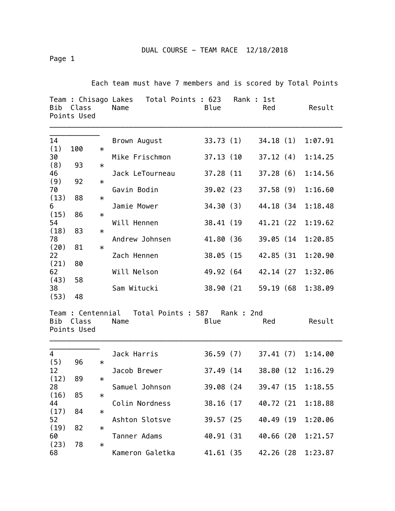Page 1

Each team must have 7 members and is scored by Total Points

| Bib                         | Class<br>Points Used |        | Team : Chisago Lakes Total Points : 623<br>Name | Blue       | Rank : 1st          | Red        | Result  |
|-----------------------------|----------------------|--------|-------------------------------------------------|------------|---------------------|------------|---------|
| 14                          |                      |        | Brown August                                    |            | 33.73 (1)           | 34.18(1)   | 1:07.91 |
| (1)                         | 100                  | $\ast$ |                                                 |            |                     |            |         |
| 30                          |                      |        | Mike Frischmon                                  |            | 37.13 (10           | 37.12(4)   | 1:14.25 |
| (8)                         | 93                   | $\ast$ |                                                 |            |                     |            |         |
| 46                          |                      |        | Jack LeTourneau                                 | 37.28 (11  |                     | 37.28(6)   | 1:14.56 |
| (9)                         | 92                   | $\ast$ |                                                 |            |                     |            |         |
| 70                          |                      |        | Gavin Bodin                                     |            | 39.02 (23           | 37.58(9)   | 1:16.60 |
| (13)                        | 88                   | $\ast$ |                                                 |            |                     |            |         |
| 6                           |                      |        | Jamie Mower                                     |            | 34.30(3)            | 44.18 (34  | 1:18.48 |
| (15)                        | 86                   | $\ast$ |                                                 |            |                     |            |         |
| 54                          |                      |        | Will Hennen                                     |            | 38.41 (19           | 41.21 (22  | 1:19.62 |
| (18)<br>78                  | 83                   | $\ast$ | Andrew Johnsen                                  | 41.80 (36  |                     | 39.05 (14  | 1:20.85 |
| (20)                        | 81                   | $\ast$ |                                                 |            |                     |            |         |
| 22                          |                      |        | Zach Hennen                                     | 38.05 (15  |                     | 42.85 (31  | 1:20.90 |
| (21)                        | 80                   |        |                                                 |            |                     |            |         |
| 62                          |                      |        | Will Nelson                                     | 49.92 (64  |                     | 42.14 (27) | 1:32.06 |
| (43)                        | 58                   |        |                                                 |            |                     |            |         |
| 38                          |                      |        | Sam Witucki                                     |            | 38.90 (21           | 59.19 (68  | 1:38.09 |
| (53)                        | 48                   |        |                                                 |            |                     |            |         |
| Bib<br>Class<br>Points Used |                      |        | Team : Centennial Total Points : 587<br>Name    | Blue       | Rank: 2nd           | Red        | Result  |
| $\overline{4}$              |                      |        | Jack Harris                                     |            | 36.59(7)            | 37.41(7)   | 1:14.00 |
| (5)                         | 96                   | $\ast$ |                                                 |            |                     |            |         |
| 12                          |                      |        | Jacob Brewer                                    | 37.49 (14) |                     | 38.80 (12  | 1:16.29 |
| (12)                        | 89                   | $\ast$ |                                                 |            |                     |            |         |
| 28                          |                      |        | Samuel Johnson                                  |            | 39.08 (24 39.47 (15 |            | 1:18.55 |
| (16)                        | 85                   | $\ast$ |                                                 |            |                     |            |         |
| 44                          |                      |        | Colin Nordness                                  | 38.16 (17  |                     | 40.72 (21) | 1:18.88 |
| (17)                        | 84                   | $\ast$ |                                                 |            |                     |            |         |
| 52                          |                      |        | Ashton Slotsve                                  |            | 39.57 (25           | 40.49 (19  | 1:20.06 |
| (19)<br>60                  | 82                   | $\ast$ | Tanner Adams                                    | 40.91 (31) |                     | 40.66 (20  | 1:21.57 |
| (23)                        | 78                   | $\ast$ |                                                 |            |                     |            |         |
| 68                          |                      |        | Kameron Galetka                                 | 41.61 (35  |                     | 42.26 (28  | 1:23.87 |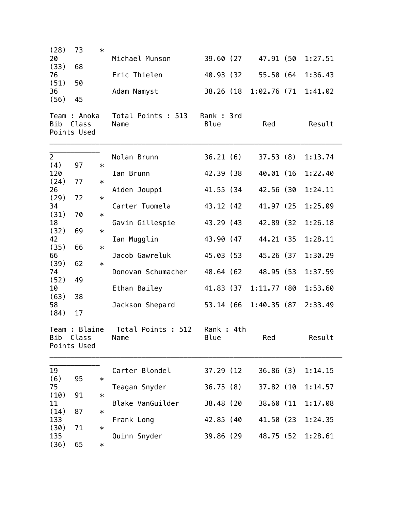| (28)<br>73<br>20<br>(33)<br>68<br>76<br>(51)<br>50<br>36<br>(56)<br>45<br>Team : Anoka<br>Bib<br>Class<br>Points Used                                                                                                                                            | $\ast$<br>Michael Munson<br>Eric Thielen<br>Adam Namyst<br>Total Points : 513<br>Name                                                                                                                                                                                       | 39.60 (27)<br>40.93 (32)<br>38.26 (18)<br>Rank : 3rd<br><b>Blue</b>                                                                                   | 47.91 (50<br>55.50 (64<br>$1:02.76$ (71<br>Red                                                                                               | 1:27.51<br>1:36.43<br>1:41.02<br>Result                                                                              |
|------------------------------------------------------------------------------------------------------------------------------------------------------------------------------------------------------------------------------------------------------------------|-----------------------------------------------------------------------------------------------------------------------------------------------------------------------------------------------------------------------------------------------------------------------------|-------------------------------------------------------------------------------------------------------------------------------------------------------|----------------------------------------------------------------------------------------------------------------------------------------------|----------------------------------------------------------------------------------------------------------------------|
| $\overline{2}$<br>(4)<br>97<br>120<br>(24)<br>77<br>26<br>(29)<br>72<br>34<br>(31)<br>70<br>18<br>(32)<br>69<br>42<br>(35)<br>66<br>66<br>62<br>(39)<br>74<br>49<br>(52)<br>10<br>38<br>(63)<br>58<br>(84)<br>17<br>Team : Blaine<br>Bib<br>Class<br>Points Used | Nolan Brunn<br>$\ast$<br>Ian Brunn<br>$\ast$<br>Aiden Jouppi<br>$\ast$<br>Carter Tuomela<br>$\ast$<br>Gavin Gillespie<br>$\ast$<br>Ian Mugglin<br>$\ast$<br>Jacob Gawreluk<br>$\ast$<br>Donovan Schumacher<br>Ethan Bailey<br>Jackson Shepard<br>Total Points : 512<br>Name | 36.21(6)<br>42.39 (38)<br>41.55 (34)<br>43.12 (42<br>43.29 (43<br>43.90 (47<br>45.03 (53<br>48.64 (62<br>41.83 (37)<br>53.14 (66<br>Rank: 4th<br>Blue | 37.53(8)<br>40.01 (16<br>42.56 (30<br>41.97 (25)<br>42.89 (32)<br>44.21 (35<br>45.26 (37<br>48.95 (53<br>$1:11.77$ (80<br>1:40.35(87)<br>Red | 1:13.74<br>1:22.40<br>1:24.11<br>1:25.09<br>1:26.18<br>1:28.11<br>1:30.29<br>1:37.59<br>1:53.60<br>2:33.49<br>Result |
| 19<br>(6)<br>95<br>75<br>(10)<br>91<br>11<br>(14)<br>87<br>133<br>(30)<br>71<br>135<br>(36)<br>65                                                                                                                                                                | Carter Blondel<br>$\ast$<br>Teagan Snyder<br>$\ast$<br>Blake VanGuilder<br>$\ast$<br>Frank Long<br>$\ast$<br>Quinn Snyder<br>$\ast$                                                                                                                                         | 37.29 (12)<br>36.75(8)<br>38.48 (20<br>42.85 (40<br>39.86 (29                                                                                         | 36.86(3)<br>37.82 (10<br>38.60 (11<br>41.50 (23)<br>48.75 (52)                                                                               | 1:14.15<br>1:14.57<br>1:17.08<br>1:24.35<br>1:28.61                                                                  |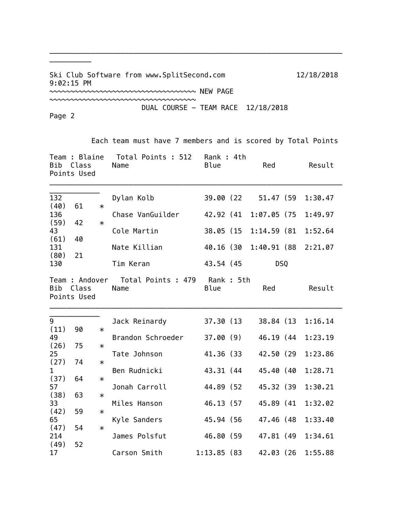Ski Club Software from www.SplitSecond.com 12/18/2018 9:02:15 PM ~~~~~~~~~~~~~~~~~~~~~~~~~~~~~~~~~~~ NEW PAGE

~~~~~~~~~~~~~~~~~~~~~~~~~~~~~~~~~~~

\_\_\_\_\_\_\_\_\_\_\_\_\_\_\_\_\_\_\_\_\_\_\_\_\_\_\_\_\_\_\_\_\_\_\_\_\_\_\_\_\_\_\_\_\_\_\_\_\_\_\_\_\_\_\_\_\_\_\_\_\_\_\_\_\_\_\_\_\_\_

Page 2

\_\_\_\_\_\_\_\_\_\_

Each team must have 7 members and is scored by Total Points

DUAL COURSE - TEAM RACE 12/18/2018

| Team : Blaine<br>Bib<br>Class<br>Points Used         |    |                            | Total Points : 512<br>Name            | Rank : 4th<br><b>Blue</b> | Red                 |  | Result              |
|------------------------------------------------------|----|----------------------------|---------------------------------------|---------------------------|---------------------|--|---------------------|
| 132<br>(40)                                          | 61 | $\ast$                     | Dylan Kolb                            |                           | 39.00 (22 51.47 (59 |  | 1:30.47             |
| 136                                                  |    |                            | Chase VanGuilder                      | 42.92 (41                 | 1:07.05(75)         |  | 1:49.97             |
| (59)<br>43                                           | 42 | $\ast$                     | Cole Martin                           | 38.05 (15                 | 1:14.59(81)         |  | 1:52.64             |
| (61)<br>131                                          | 40 |                            | Nate Killian                          | 40.16 (30                 |                     |  | 1:40.91 (88 2:21.07 |
| (80)<br>21<br>130                                    |    |                            | Tim Keran                             | 43.54 (45                 | <b>DSQ</b>          |  |                     |
| Team : Andover<br><b>Bib</b><br>Class<br>Points Used |    |                            | Total Points : 479 Rank : 5th<br>Name | Blue                      | Red                 |  | Result              |
| 9<br>(11)                                            | 90 |                            | Jack Reinardy                         | 37.30 (13                 |                     |  | 38.84 (13 1:16.14   |
| 49                                                   |    | $\ast$<br>$\ast$<br>$\ast$ | Brandon Schroeder                     | 37.00 (9)                 | 46.19 (44           |  | 1:23.19             |
| (26)<br>25                                           | 75 |                            | Tate Johnson                          | 41.36 (33                 | 42.50 (29           |  | 1:23.86             |
| (27)<br>$\mathbf{1}$                                 | 74 |                            | Ben Rudnicki                          | 43.31 (44                 | 45.40 (40           |  | 1:28.71             |
| (37)<br>57                                           | 64 | $\ast$                     | Jonah Carroll                         | 44.89 (52                 | 45.32 (39           |  | 1:30.21             |
| (38)<br>33                                           | 63 | $\ast$                     | Miles Hanson                          | 46.13 (57                 | 45.89 (41           |  | 1:32.02             |
| (42)<br>65                                           | 59 | $\ast$                     | Kyle Sanders                          | 45.94 (56                 | 47.46 (48           |  | 1:33.40             |
| (47)<br>214                                          | 54 | $\ast$                     | James Polsfut                         | 46.80 (59                 | 47.81 (49           |  | 1:34.61             |
| (49)<br>17                                           | 52 |                            | Carson Smith                          | 1:13.85(83)               | 42.03 (26           |  | 1:55.88             |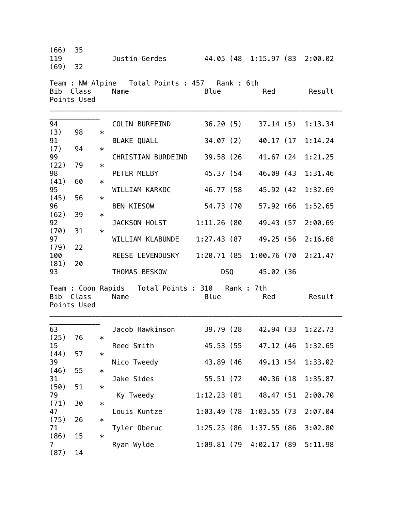| (66)<br>119<br>(69) | 35<br>32             |                  | Justin Gerdes 44.05 (48 1:15.97 (83 2:00.02                |                            |                                            |                    |
|---------------------|----------------------|------------------|------------------------------------------------------------|----------------------------|--------------------------------------------|--------------------|
| Bib                 | Class<br>Points Used |                  | Team : NW Alpine  Total Points : 457  Rank : 6th<br>Name   | Blue                       | Red                                        | Result             |
| 94<br>(3)           | 98                   | $\ast$           | COLIN BURFEIND                                             |                            | $36.20(5)$ $37.14(5)$                      | 1:13.34            |
| 91<br>(7)<br>99     | 94                   | $\ast$           | BLAKE QUALL<br>CHRISTIAN BURDEIND                          | 39.58 (26                  | 34.07 (2) 40.17 (17<br>41.67 (24           | 1:14.24<br>1:21.25 |
| (22)<br>98<br>(41)  | 79<br>60             | $\ast$<br>$\ast$ | PETER MELBY                                                | 45.37 (54                  | 46.09 (43                                  | 1:31.46            |
| 95<br>(45)          | 56                   | $\ast$           | WILLIAM KARKOC                                             | 46.77 (58                  | 45.92 (42                                  | 1:32.69            |
| 96<br>(62)<br>92    | 39                   | $\ast$           | BEN KIESOW<br>JACKSON HOLST                                | 54.73 (70<br>$1:11.26$ (80 | 57.92 (66<br>49.43 (57                     | 1:52.65<br>2:00.69 |
| (70)<br>97<br>(79)  | 31<br>22             | $\ast$           | WILLIAM KLABUNDE                                           |                            | 1:27.43 (87 49.25 (56                      | 2:16.68            |
| 100<br>(81)<br>93   | 20                   |                  | REESE LEVENDUSKY<br>THOMAS BESKOW                          |                            | 1:20.71 (85 1:00.76 (70<br>DSQ 45.02 (36   | 2:21.47            |
| Bib                 | Class<br>Points Used |                  | Team : Coon Rapids  Total Points : 310  Rank : 7th<br>Name | Blue                       | Red                                        | Result             |
| 63<br>(25)          | 76                   | $\ast$           | Jacob Hawkinson                                            | 39.79 (28                  | 42.94 (33                                  | 1:22.73            |
| 15<br>(44)          | 57                   | $\ast$           | Reed Smith                                                 | 45.53 (55                  | 47.12 (46                                  | 1:32.65            |
| 39<br>(46)<br>31    | 55                   | $\ast$           | Nico Tweedy<br>Jake Sides                                  | 43.89 (46<br>55.51 (72     | 49.13 (54)<br>40.36 (18)                   | 1:33.02<br>1:35.87 |
| (50)<br>79<br>(71)  | 51<br>30             | $\ast$<br>$\ast$ | Ky Tweedy                                                  | 1:12.23 (81                | 48.47 (51)                                 | 2:00.70            |
| 47<br>(75)          | 26                   | $\ast$           | Louis Kuntze                                               | $1:03.49$ (78)             | 1:03.55(73)                                | 2:07.04            |
| 71<br>(86)<br>7     | 15                   | $\ast$           | Tyler Oberuc<br>Ryan Wylde                                 | 1:25.25(86)                | 1:37.55(86)<br>$1:09.81$ (79 $4:02.17$ (89 | 3:02.80<br>5:11.98 |
| (87)                | 14                   |                  |                                                            |                            |                                            |                    |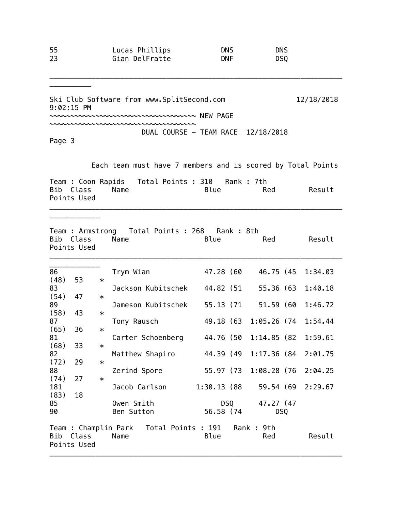| 55 | Lucas Phillips | <b>DNS</b> | <b>DNS</b>      |
|----|----------------|------------|-----------------|
| 23 | Gian DelFratte | <b>DNF</b> | DS <sub>0</sub> |

\_\_\_\_\_\_\_\_\_\_\_\_\_\_\_\_\_\_\_\_\_\_\_\_\_\_\_\_\_\_\_\_\_\_\_\_\_\_\_\_\_\_\_\_\_\_\_\_\_\_\_\_\_\_\_\_\_\_\_\_\_\_\_\_\_\_\_\_\_\_

Ski Club Software from www.SplitSecond.com 12/18/2018 9:02:15 PM

~~~~~~~~~~~~~~~~~~~~~~~~~~~~~~~~~~~ NEW PAGE

~~~~~~~~~~~~~~~~~~~~~~~~~~~~~~~~~~~

DUAL COURSE - TEAM RACE 12/18/2018

Page 3

 $\overline{\phantom{a}}$  . The contract of  $\overline{\phantom{a}}$ 

 $\overline{\phantom{a}}$   $\overline{\phantom{a}}$   $\overline{\phantom{a}}$   $\overline{\phantom{a}}$   $\overline{\phantom{a}}$   $\overline{\phantom{a}}$   $\overline{\phantom{a}}$   $\overline{\phantom{a}}$   $\overline{\phantom{a}}$   $\overline{\phantom{a}}$   $\overline{\phantom{a}}$   $\overline{\phantom{a}}$   $\overline{\phantom{a}}$   $\overline{\phantom{a}}$   $\overline{\phantom{a}}$   $\overline{\phantom{a}}$   $\overline{\phantom{a}}$   $\overline{\phantom{a}}$   $\overline{\$ 

Each team must have 7 members and is scored by Total Points

|             | Team : Coon Rapids   Total Points : 310   Rank : 7th |  |      |     |        |
|-------------|------------------------------------------------------|--|------|-----|--------|
| Bib Class   | Name                                                 |  | Blue | Red | Result |
| Points Used |                                                      |  |      |     |        |
|             |                                                      |  |      |     |        |

| Team : Armstrong  Total Points : 268  Rank : 8th<br>Class<br>Blue<br>Result<br>Bib<br>Name<br>Red<br>Points Used |             |        |                                          |             |                                                                                                                                                                                                                                |                 |  |                   |
|------------------------------------------------------------------------------------------------------------------|-------------|--------|------------------------------------------|-------------|--------------------------------------------------------------------------------------------------------------------------------------------------------------------------------------------------------------------------------|-----------------|--|-------------------|
| 86                                                                                                               |             |        |                                          | 47.28 (60   |                                                                                                                                                                                                                                |                 |  | 46.75 (45 1:34.03 |
| (48)                                                                                                             | 53          | $\ast$ | Trym Wian                                |             |                                                                                                                                                                                                                                |                 |  |                   |
| 83                                                                                                               |             |        | Jackson Kubitschek                       | 44.82 (51   |                                                                                                                                                                                                                                | 55.36 (63       |  | 1:40.18           |
| (54)                                                                                                             | 47          | $\ast$ |                                          |             |                                                                                                                                                                                                                                |                 |  |                   |
| 89                                                                                                               |             |        | Jameson Kubitschek                       | 55.13 (71   |                                                                                                                                                                                                                                | 51.59 (60       |  | 1:46.72           |
| (58)                                                                                                             | 43          | $\ast$ |                                          |             |                                                                                                                                                                                                                                |                 |  |                   |
| 87                                                                                                               |             |        | Tony Rausch                              | 49.18 (63   |                                                                                                                                                                                                                                | $1:05.26$ (74   |  | 1:54.44           |
| (65)                                                                                                             | 36          | $\ast$ |                                          |             |                                                                                                                                                                                                                                |                 |  |                   |
| 81                                                                                                               |             |        | Carter Schoenberg 44.76 (50              |             |                                                                                                                                                                                                                                | 1:14.85(82)     |  | 1:59.61           |
| (68)                                                                                                             | 33          | $\ast$ |                                          |             |                                                                                                                                                                                                                                |                 |  |                   |
| 82                                                                                                               |             |        | Matthew Shapiro                          | 44.39 (49   |                                                                                                                                                                                                                                | $1:17,36$ (84)  |  | 2:01.75           |
| (72)                                                                                                             | 29          | $\ast$ |                                          |             |                                                                                                                                                                                                                                |                 |  |                   |
| 88                                                                                                               |             |        | Zerind Spore                             | 55.97 (73   |                                                                                                                                                                                                                                | 1:08.28 (76     |  | 2:04.25           |
| (74)                                                                                                             | 27          | $\ast$ |                                          |             |                                                                                                                                                                                                                                |                 |  |                   |
| 181                                                                                                              |             |        | Jacob Carlson                            | 1:30.13 (88 |                                                                                                                                                                                                                                | 59.54 (69       |  | 2:29.67           |
| (83)                                                                                                             | 18          |        |                                          |             |                                                                                                                                                                                                                                |                 |  |                   |
| 85                                                                                                               |             |        | Owen Smith                               |             | DSQ and the post of the content of the content of the content of the content of the content of the content of the content of the content of the content of the content of the content of the content of the content of the con | 47.27 (47)      |  |                   |
| 90                                                                                                               |             |        | Ben Sutton                               | 56.58 (74   |                                                                                                                                                                                                                                | DS <sub>0</sub> |  |                   |
|                                                                                                                  |             |        |                                          |             |                                                                                                                                                                                                                                |                 |  |                   |
|                                                                                                                  |             |        | Team : Champlin Park  Total Points : 191 |             |                                                                                                                                                                                                                                | Rank : 9th      |  |                   |
| Bib                                                                                                              | Class       |        | Name                                     | Blue        |                                                                                                                                                                                                                                | Red             |  | Result            |
|                                                                                                                  | Points Used |        |                                          |             |                                                                                                                                                                                                                                |                 |  |                   |
|                                                                                                                  |             |        |                                          |             |                                                                                                                                                                                                                                |                 |  |                   |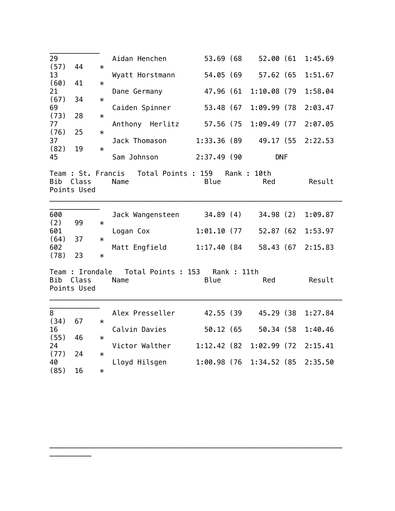| 29<br>(57)         | 44                                      | $\ast$           | Aidan Henchen                                 | 53.69 (68     |                         | 52.00 (61  | 1:45.69 |
|--------------------|-----------------------------------------|------------------|-----------------------------------------------|---------------|-------------------------|------------|---------|
| 13                 |                                         |                  | Wyatt Horstmann                               | 54.05 (69     |                         | 57.62 (65  | 1:51.67 |
| (60)<br>21         | 41                                      | $\ast$           | Dane Germany                                  | 47.96 (61     | $1:10.08$ (79           |            | 1:58.04 |
| (67)<br>69         | 34                                      | $\ast$           | Caiden Spinner                                | 53.48 (67     | 1:09.99 (78             |            | 2:03.47 |
| (73)<br>77<br>(76) | 28                                      | $\ast$           | Anthony Herlitz                               | 57.56 (75     | $1:09.49$ (77)          |            | 2:07.05 |
| 37<br>(82)         | 25<br>19                                | $\ast$<br>$\ast$ | Jack Thomason                                 | 1:33.36 (89   |                         | 49.17 (55  | 2:22.53 |
| 45                 |                                         |                  | Sam Johnson                                   | $2:37.49$ (90 |                         | <b>DNF</b> |         |
| <b>Bib</b>         | Class<br>Points Used                    |                  | Team : St. Francis Total Points : 159<br>Name | <b>Blue</b>   | Rank: 10th<br>Red       |            | Result  |
| 600                |                                         |                  | Jack Wangensteen                              | 34.89 (4)     |                         | 34.98(2)   | 1:09.87 |
| (2)<br>601<br>(64) | 99<br>37                                | $\ast$<br>$\ast$ | Logan Cox                                     | 1:01.10(77)   |                         | 52.87 (62  | 1:53.97 |
| 602<br>(78)        | 23                                      | $\ast$           | Matt Engfield                                 | 1:17.40 (84   |                         | 58.43 (67  | 2:15.83 |
| Bib                | Team : Irondale<br>Class<br>Points Used |                  | Total Points : 153<br>Name                    | Blue          | Rank : 11th<br>Red      |            | Result  |
| 8                  |                                         |                  | Alex Presseller                               | 42.55 (39     |                         | 45.29 (38) | 1:27.84 |
| (34)<br>16         | 67                                      | $\ast$           | Calvin Davies                                 | 50.12 (65     |                         | 50.34 (58  | 1:40.46 |
| (55)<br>24         | 46                                      | $\ast$           | Victor Walther                                |               | 1:12.42 (82 1:02.99 (72 |            | 2:15.41 |
| (77)<br>40         | 24                                      | $\ast$           | Lloyd Hilsgen                                 |               | 1:00.98 (76 1:34.52 (85 |            | 2:35.50 |
| (85)               | 16                                      | $\ast$           |                                               |               |                         |            |         |

\_\_\_\_\_\_\_\_\_\_\_\_\_\_\_\_\_\_\_\_\_\_\_\_\_\_\_\_\_\_\_\_\_\_\_\_\_\_\_\_\_\_\_\_\_\_\_\_\_\_\_\_\_\_\_\_\_\_\_\_\_\_\_\_\_\_\_\_\_\_

\_\_\_\_\_\_\_\_\_\_